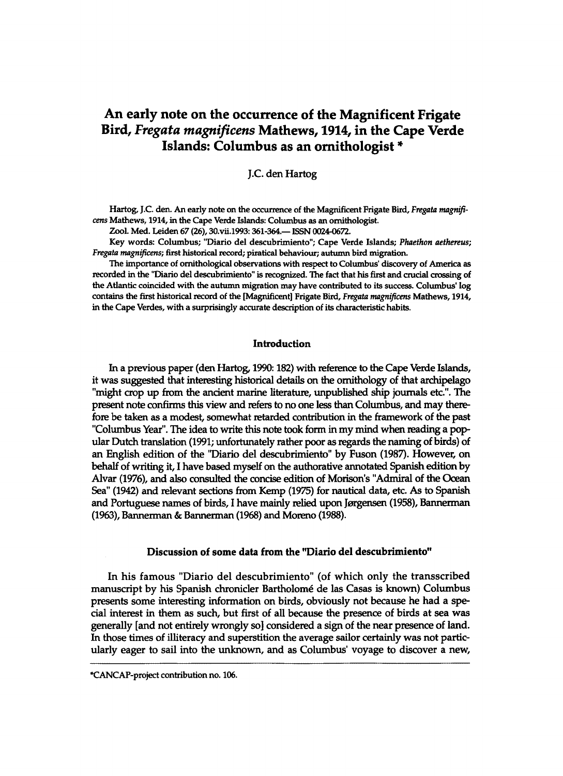# **An early note on the occurrence of the Magnificent Frigate Bird,** *Fregata magnificats* **Mathews, 1914, in the Cape Verde Islands: Columbus as an ornithologist \***

## J.C. den Hartog

Hartog, J.C. den. An early note on the occurrence of the Magnificent Frigate Bird, *Fregata magnificens* **Mathews, 1914, in the Cape Verde Islands: Columbus as an ornithologist.** 

**Zool. Med. Leiden 67 (26), [30.vii.1993:](http://30.vii.1993)361-364.— ISSN 0024-0672.** 

**Key words: Columbus; "Diario del descubrimiento"; Cape Verde Islands;** *Phaethon aethereus; Fregata magnificens;* **first historical record; piratical behaviour; autumn bird migration.** 

**The importance of ornithological observations with respect to Columbus' discovery of America as recorded in the "Diario del descubrirniento" is recognized. The fact that his first and crucial crossing of the Atlantic coincided with the autumn migration may have contributed to its success. Columbus' log contains the first historical record of the [Magnificent] Frigate Bird,** *Fregata magnificens* **Mathews, 1914, in the Cape Verdes, with a surprisingly accurate description of its characteristic habits.** 

#### Introduction

In a previous paper (den Hartog, 1990:182) with reference to the Cape Verde Islands, it was suggested that interesting historical details on the ornithology of that archipelago "might crop up from the ancient marine literature, unpublished ship journals etc.". The present note confirms this view and refers to no one less than Columbus, and may therefore be taken as a modest, somewhat retarded contribution in the framework of the past "Columbus Year". The idea to write this note took form in my mind when reading a popular Dutch translation (1991; unfortunately rather poor as regards the naming of birds) of an English edition of the "Diario del descubrimiento" by Fuson (1987). However, on behalf of writing it, I have based myself on the authorative annotated Spanish edition by Alvar (1976), and also consulted the concise edition of Morison's "Admiral of the Ocean Sea" (1942) and relevant sections from Kemp (1975) for nautical data, etc. As to Spanish and Portuguese names of birds, I have mainly relied upon Jørgensen (1958), Bannerman (1963), Bannerman & Bannerman (1968) and Moreno (1988).

#### Discussion of some data from the "Diario del descubrimiento"

In his famous "Diario del descubrimiento" (of which only the transscribed manuscript by his Spanish chronicler Bartholome de las Casas is known) Columbus presents some interesting information on birds, obviously not because he had a special interest in them as such, but first of all because the presence of birds at sea was generally [and not entirely wrongly so] considered a sign of the near presence of land. In those times of illiteracy and superstition the average sailor certainly was not particularly eager to sail into the unknown, and as Columbus' voyage to discover a new,

**<sup>\*</sup>CANCAP-project contribution no. 106.**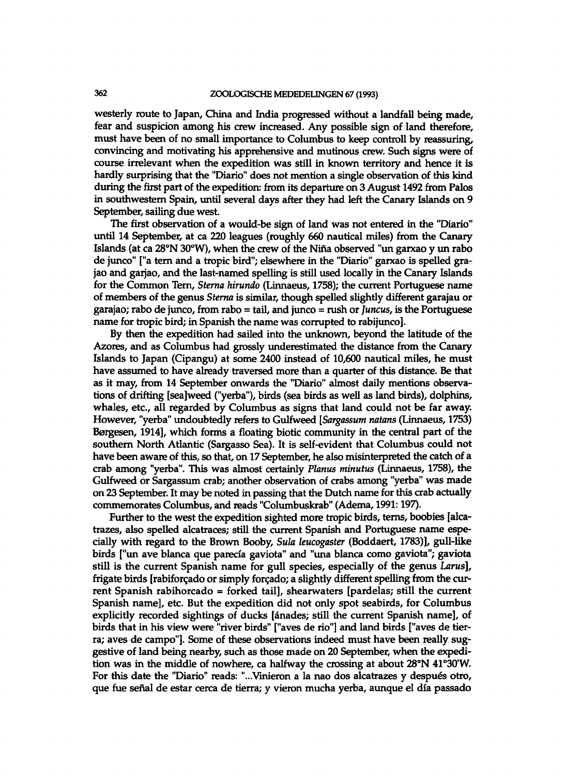westerly route to Japan, China and India progressed without a landfall being made, fear and suspicion among his crew increased. Any possible sign of land therefore, must have been of no small importance to Columbus to keep controll by reassuring, convincing and motivating his apprehensive and mutinous crew. Such signs were of course irrelevant when the expedition was still in known territory and hence it is hardly surprising that the "Diario" does not mention a single observation of this kind during the first part of the expedition: from its departure on 3 August 1492 from Palos in southwestern Spain, until several days after they had left the Canary Islands on 9 September, sailing due west.

The first observation of a would-be sign of land was not entered in the "Diario" until 14 September, at ca 220 leagues (roughly 660 nautical miles) from the Canary Islands (at ca 28°N 30°W), when the crew of the Nina observed "un garxao y un rabo de junco" ["a tern and a tropic bird"; elsewhere in the "Diario" garxao is spelled grajao and garjao, and the last-named spelling is still used locally in the Canary Islands for the Common Tern, *Sterna hirundo* (Linnaeus, 1758); the current Portuguese name of members of the genus *Sterna* is similar, though spelled slightly different garajau or garajao; rabo de junco, from rabo = tail, and junco = rush or *Juncus,* is the Portuguese name for tropic bird; in Spanish the name was corrupted to rabijunco].

By then the expedition had sailed into the unknown, beyond the latitude of the Azores, and as Columbus had grossly underestimated the distance from the Canary Islands to Japan (Cipangu) at some 2400 instead of 10,600 nautical miles, he must have assumed to have already traversed more than a quarter of this distance. Be that as it may, from 14 September onwards the "Diario" almost daily mentions observations of drifting [sea]weed ("yerba"), birds (sea birds as well as land birds), dolphins, whales, etc., all regarded by Columbus as signs that land could not be far away. However, "yerba" undoubtedly refers to Gulfweed *[Sargassum nutans* (Linnaeus, 1753) Borgesen, 1914], which forms a floating biotic community in the central part of the southern North Atlantic (Sargasso Sea). It is self-evident that Columbus could not have been aware of this, so that, on 17 September, he also misinterpreted the catch of a crab among "yerba". This was almost certainly *Planus minutus* (Linnaeus, 1758), the Gulfweed or Sargassum crab; another observation of crabs among "yerba" was made on 23 September. It may be noted in passing that the Dutch name for this crab actually commemorates Columbus, and reads "Columbuskrab" (Adema, 1991:197).

Further to the west the expedition sighted more tropic birds, terns, boobies [alcatrazes, also spelled alcatraces; still the current Spanish and Portuguese name especially with regard to the Brown Booby, *Sula leucogaster* (Boddaert, 1783)], gull-like birds ["un ave blanca que parecia gaviota" and "una blanca como gaviota"; gaviota still is the current Spanish name for gull species, especially of the genus *Larus],*  frigate birds [rabiforgado or simply forgado; a slightly different spelling from the current Spanish rabihorcado = forked tail], shearwaters [pardelas; still the current Spanish name], etc. But the expedition did not only spot seabirds, for Columbus explicitly recorded sightings of ducks [&nades; still the current Spanish name], of birds that in his view were "river birds" ["aves de rio"] and land birds ["aves de tierra; aves de campo"]. Some of these observations indeed must have been really suggestive of land being nearby, such as those made on 20 September, when the expedition was in the middle of nowhere, ca halfway the crossing at about 28°N 41°30'W. For this date the "Diario" reads: "...Vinieron a la nao dos alcatrazes y después otro, que fue serial de estar cerca de tierra; y vieron mucha yerba, aunque el dia passado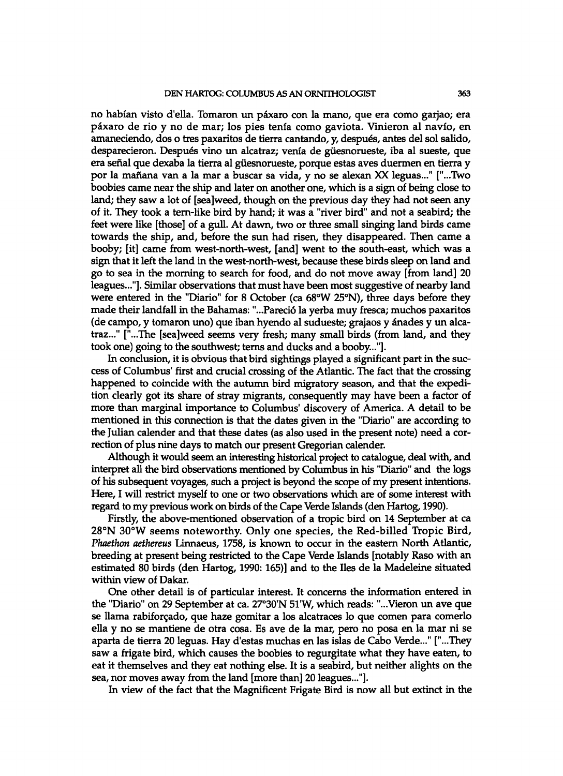no habian visto d'ella. Tomaron un p£xaro con la mano, que era como garjao; era paxaro de rio y no de mar; los pies tenia como gaviota. Vinieron al navio, en amaneciendo, dos o tres paxaritos de tierra cantando, y, despues, antes del sol salido, desparecieron. Despues vino un alcatraz; venia de giiesnorueste, iba al sueste, que era señal que dexaba la tierra al güesnorueste, porque estas aves duermen en tierra y por la manana van a la mar a buscar sa vida, y no se alexan XX leguas..." ["...Two boobies came near the ship and later on another one, which is a sign of being close to land; they saw a lot of [sea]weed, though on the previous day they had not seen any of it. They took a tern-like bird by hand; it was a "river bird" and not a seabird; the feet were like [those] of a gull. At dawn, two or three small singing land birds came towards the ship, and, before the sun had risen, they disappeared. Then came a booby; [it] came from west-north-west, [and] went to the south-east, which was a sign that it left the land in the west-north-west, because these birds sleep on land and go to sea in the morning to search for food, and do not move away [from land] 20 leagues..."]. Similar observations that must have been most suggestive of nearby land were entered in the "Diario" for 8 October (ca 68°W 25°N), three days before they made their landfall in the Bahamas: "...Pareci6 la yerba muy fresca; muchos paxaritos (de campo, y tomaron uno) que iban hyendo al sudueste; grajaos y anades y un alcatraz..." ["...The [sea]weed seems very fresh; many small birds (from land, and they took one) going to the southwest; terns and ducks and a booby..."].

In conclusion, it is obvious that bird sightings played a significant part in the success of Columbus' first and crucial crossing of the Atlantic. The fact that the crossing happened to coincide with the autumn bird migratory season, and that the expedition clearly got its share of stray migrants, consequently may have been a factor of more than marginal importance to Columbus' discovery of America. A detail to be mentioned in this connection is that the dates given in the "Diario" are according to the Julian calender and that these dates (as also used in the present note) need a correction of plus nine days to match our present Gregorian calender.

Although it would seem an interesting historical project to catalogue, deal with, and interpret all the bird observations mentioned by Columbus in his "Diario" and the logs of his subsequent voyages, such a project is beyond the scope of my present intentions. Here, I will restrict myself to one or two observations which are of some interest with regard to my previous work on birds of the Cape Verde Islands (den Hartog, 1990).

Firstly, the above-mentioned observation of a tropic bird on 14 September at ca 28°N 30°W seems noteworthy. Only one species, the Red-billed Tropic Bird, *Phaethon aethereus* Linnaeus, 1758, is known to occur in the eastern North Atlantic, breeding at present being restricted to the Cape Verde Islands [notably Raso with an estimated 80 birds (den Hartog, 1990:165)] and to the lies de la Madeleine situated within view of Dakar.

One other detail is of particular interest. It concerns the information entered in the "Diario" on 29 September at ca. 27°30'N 51'W, which reads: "...Vieron un ave que se llama rabiforgado, que haze gomitar a los alcatraces lo que comen para comerlo ella y no se mantiene de otra cosa. Es ave de la mar, pero no posa en la mar ni se aparta de tierra 20 leguas. Hay d'estas muchas en las islas de Cabo Verde..." ["...They saw a frigate bird, which causes the boobies to regurgitate what they have eaten, to eat it themselves and they eat nothing else. It is a seabird, but neither alights on the sea, nor moves away from the land [more than] 20 leagues..."].

In view of the fact that the Magnificent Frigate Bird is now all but extinct in the